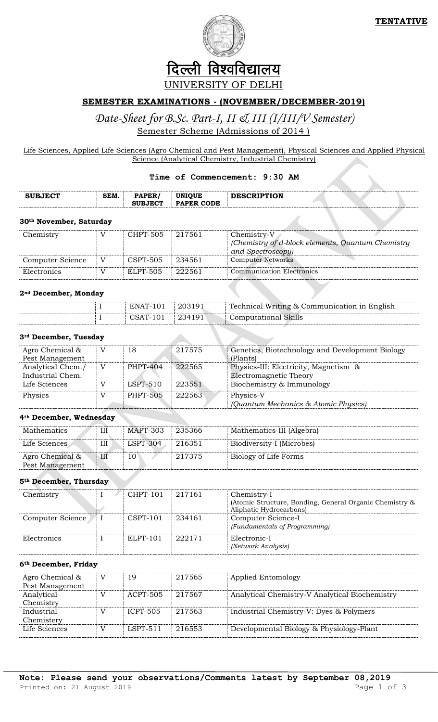

# दिल्ली विश्वविद्यालय UNIVERSITY OF DELHI

### **SEMESTER EXAMINATIONS - (NOVEMBER/DECEMBER-2019)**

## *Date-Sheet for B.Sc. Part-I, II & III (I/III/V Semester)* Semester Scheme (Admissions of 2014 )

Life Sciences, Applied Life Sciences (Agro Chemical and Pest Management), Physical Sciences and Applied Physical Science (Analytical Chemistry, Industrial Chemistry)

#### **Time of Commencement: 9:30 AM**

| <b>SUBJECT</b> | SEM. | <b>PAPER</b>   | <b>UNIOUE</b> | <b>DESCRIPTION</b> |  |
|----------------|------|----------------|---------------|--------------------|--|
|                |      | <b>SUBJECT</b> | PAPER CODE    |                    |  |

#### **30th November, Saturday**

| Chemistry        | CHPT-505 | 217561 | Chemistry-V<br>(Chemistry of d-block elements, Quantum Chemistry)<br>and Spectroscopy) |
|------------------|----------|--------|----------------------------------------------------------------------------------------|
| Computer Science | CSPT-505 | 234561 | <b>Computer Networks</b>                                                               |
| Electronics      | ELPT-505 | 222561 | <b>Communication Electronics</b>                                                       |

### **2nd December, Monday**

|  | ENAT-101 | ່ 203191 | Technical Writing & Communication in English |
|--|----------|----------|----------------------------------------------|
|  | CSAT-101 | 234191   | <b>Computational Skills</b>                  |

### **3rd December, Tuesday**

| Agro Chemical &   | V | 18              | 217575 | Genetics, Biotechnology and Development Biology |
|-------------------|---|-----------------|--------|-------------------------------------------------|
| Pest Management   |   |                 |        | (Plants)                                        |
| Analytical Chem./ | V | PHPT-404        | 222565 | Physics-III: Electricity, Magnetism &           |
| Industrial Chem.  |   |                 |        | Electromagnetic Theory                          |
| Life Sciences     |   | $LSPT-510$      | 223551 | Biochemistry & Immunology                       |
| Physics           |   | <b>PHPT-505</b> | 222563 | Physics-V                                       |
|                   |   |                 |        | (Quantum Mechanics & Atomic Physics)            |

### **4th December, Wednesday**

| Mathematics                        | Ш | MAPT-303   | 235366 | Mathematics-III (Algebra) |
|------------------------------------|---|------------|--------|---------------------------|
| Life Sciences                      | Ш | $LSPT-304$ | 216351 | Biodiversity-I (Microbes) |
| Agro Chemical &<br>Pest Management | Ш | 10         | 217375 | Biology of Life Forms     |

### **5th December, Thursday**

|  | CHPT-101   | 217161 | Chemistry-I                                             |  |  |
|--|------------|--------|---------------------------------------------------------|--|--|
|  |            |        | (Atomic Structure, Bonding, General Organic Chemistry & |  |  |
|  |            |        | Aliphatic Hydrocarbons)                                 |  |  |
|  | $CSPT-101$ | 234161 | Computer Science-I                                      |  |  |
|  |            |        | (Fundamentals of Programming)                           |  |  |
|  | $ELPT-101$ | 222171 | Electronic-I                                            |  |  |
|  |            |        | (Network Analysis)                                      |  |  |
|  |            |        |                                                         |  |  |

### **6th December, Friday**

| Agro Chemical & | V              | 19              | 217565 | Applied Entomology                             |
|-----------------|----------------|-----------------|--------|------------------------------------------------|
| Pest Management |                |                 |        |                                                |
| Analytical      |                | ACPT-505        | 217567 | Analytical Chemistry-V Analytical Biochemistry |
| Chemistry       |                |                 |        |                                                |
| Industrial      | $\overline{V}$ | <b>ICPT-505</b> | 217563 | Industrial Chemistry-V: Dyes & Polymers        |
| Chemistery      |                |                 |        |                                                |
| Life Sciences   |                | $LSPT-511$      | 216553 | Developmental Biology & Physiology-Plant       |
|                 |                |                 |        |                                                |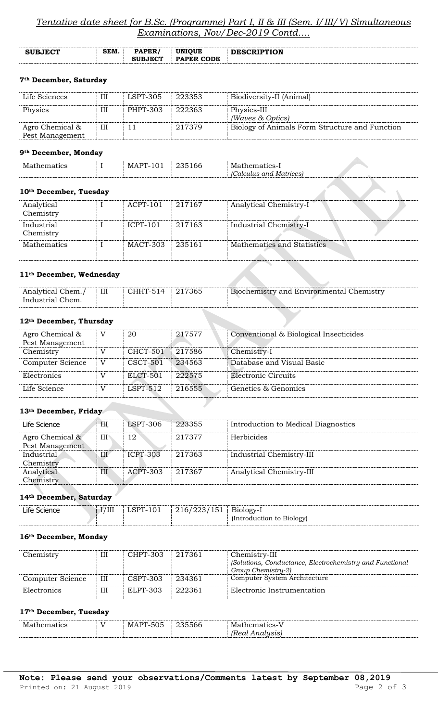### *Tentative date sheet for B.Sc. (Programme) Part I, II & III (Sem. I/III/V) Simultaneous Examinations, Nov/Dec-2019 Contd….*

| <b>SUBJECT</b> | <b>SEM</b> | PAPER/<br><b>SUBJECT</b> | <b>UNIOUE</b><br><b>PAPER CODE</b> | <b>DESCRIPTION</b> |
|----------------|------------|--------------------------|------------------------------------|--------------------|
|                |            |                          |                                    |                    |

### **7th December, Saturday**

| Life Sciences                      | Ш | LSPT-305 | 223353 | Biodiversity-II (Animal)                       |
|------------------------------------|---|----------|--------|------------------------------------------------|
| Physics                            | Ш | PHPT-303 | 222363 | Physics-III<br>(Waves & Optics)                |
| Agro Chemical &<br>Pest Management | Ш |          | 217379 | Biology of Animals Form Structure and Function |

### **9th December, Monday**

| - -<br><u>мл</u> | $\sim$<br>_____ | 1M                            |  |
|------------------|-----------------|-------------------------------|--|
|                  |                 | $\tilde{\phantom{0}}$<br>mnno |  |
|                  |                 |                               |  |

### **10th December, Tuesday**

| Analytical<br>Chemistry | $ACPT-101$ | 217167 | Analytical Chemistry-I     |
|-------------------------|------------|--------|----------------------------|
| Industrial<br>Chemistry | $ICPT-101$ | 217163 | Industrial Chemistry-I     |
| <b>Mathematics</b>      | MACT-303   | 235161 | Mathematics and Statistics |

### **11th December, Wednesday**

| 11 <sup>-</sup> December, wednesday   |   |                 |                                          |
|---------------------------------------|---|-----------------|------------------------------------------|
| Analytical Chem./<br>Industrial Chem. | Ш | CHHT-514 217365 | Biochemistry and Environmental Chemistry |
|                                       |   |                 |                                          |

### **12th December, Thursday**

| Agro Chemical &<br>Pest Management |                | 20              | 217577 | Conventional & Biological Insecticides |
|------------------------------------|----------------|-----------------|--------|----------------------------------------|
| Chemistry                          | $\overline{V}$ | <b>CHCT-501</b> | 217586 | Chemistry-I                            |
| Computer Science                   | V              | $CSCT-501$      | 234563 | Database and Visual Basic              |
| Electronics                        |                | ELCT-501        | 222575 | Electronic Circuits                    |
| Life Science                       |                | $L$ SPT-512     | 216555 | Genetics & Genomics                    |

### **13th December, Friday**

| Life Science                       | Ш   | $LSPT-306$      | 223355 | Introduction to Medical Diagnostics |
|------------------------------------|-----|-----------------|--------|-------------------------------------|
| Agro Chemical &<br>Pest Management | Ш١  | 12              | 217377 | <b>Herbicides</b>                   |
| Industrial<br>Chemistry            | III | <b>ICPT-303</b> | 217363 | Industrial Chemistry-III            |
| Analytical<br>Chemistry            | III | $ACPT-303$      | 217367 | Analytical Chemistry-III            |

### **14th December, Saturday**

| Life Science | '/III | 216/223/151 | Biology-l                 |
|--------------|-------|-------------|---------------------------|
|              |       |             | (Introduction to Biology) |
|              |       |             |                           |

### **16th December, Monday**

| Chemistry        | III | CHPT-303 | 217361 | Chemistry-III<br>(Solutions, Conductance, Electrochemistry and Functional<br>Group Chemistry-2) |
|------------------|-----|----------|--------|-------------------------------------------------------------------------------------------------|
| Computer Science | Ш   | CSPT-303 | 234361 | Computer System Architecture                                                                    |
| Electronics      | Ш   | ELPT-303 | 222361 | Electronic Instrumentation                                                                      |

#### **17th December, Tuesday**

| M.<br>$\sim$<br>. | $\sim$ $\sim$ | $\sim$ $\sim$<br>$\mathbf{r}$<br>MA<br>ついこ | $   -$<br>$\sim$ $\sim$ $\sim$<br>ລດເ | $\mathbf{r}$<br>Mа<br>$\sim$<br>- -- -            |
|-------------------|---------------|--------------------------------------------|---------------------------------------|---------------------------------------------------|
|                   |               |                                            |                                       | $T_{\rm O}$<br>alusis<br>$\sim$ $\sim$ $\sim$<br> |